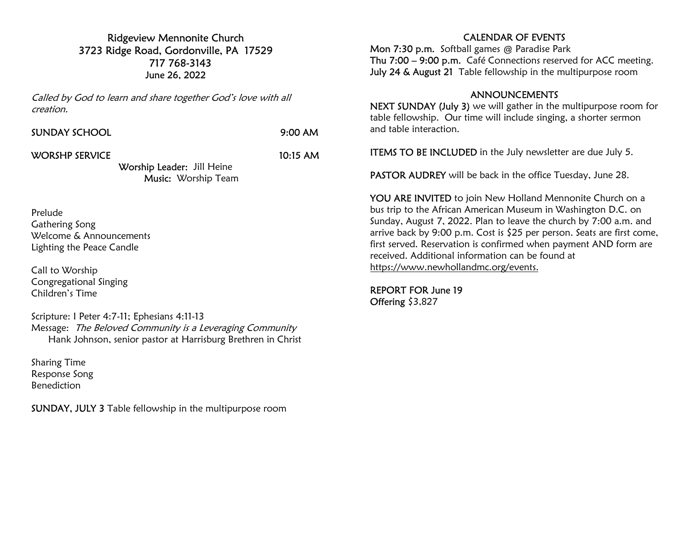#### Ridgeview Mennonite Church 3723 Ridge Road, Gordonville, PA 17529 717 768-3143 June 26, 2022

Called by God to learn and share together God's love with all creation.

|  |  | <b>SUNDAY SCHOOL</b> |  |  |
|--|--|----------------------|--|--|
|--|--|----------------------|--|--|

 $9:00$  AM

WORSHP SERVICE 10:15 AM

Worship Leader: Jill Heine Music: Worship Team

Prelude Gathering Song Welcome & Announcements Lighting the Peace Candle

Call to Worship Congregational Singing Children's Time

Scripture: I Peter 4:7-11; Ephesians 4:11-13 Message: The Beloved Community is a Leveraging Community Hank Johnson, senior pastor at Harrisburg Brethren in Christ

Sharing Time Response Song Benediction

SUNDAY, JULY 3 Table fellowship in the multipurpose room

## CALENDAR OF EVENTS

Mon 7:30 p.m. Softball games @ Paradise Park Thu 7:00 – 9:00 p.m. Café Connections reserved for ACC meeting. July 24 & August 21 Table fellowship in the multipurpose room

### ANNOUNCEMENTS

NEXT SUNDAY (July 3) we will gather in the multipurpose room for table fellowship. Our time will include singing, a shorter sermon and table interaction.

**ITEMS TO BE INCLUDED** in the July newsletter are due July 5.

PASTOR AUDREY will be back in the office Tuesday, June 28.

YOU ARE INVITED to join New Holland Mennonite Church on a bus trip to the African American Museum in Washington D.C. on Sunday, August 7, 2022. Plan to leave the church by 7:00 a.m. and arrive back by 9:00 p.m. Cost is \$25 per person. Seats are first come, first served. Reservation is confirmed when payment AND form are received. Additional information can be found at https://www.newhollandmc.org/events.

REPORT FOR June 19 Offering \$3,827